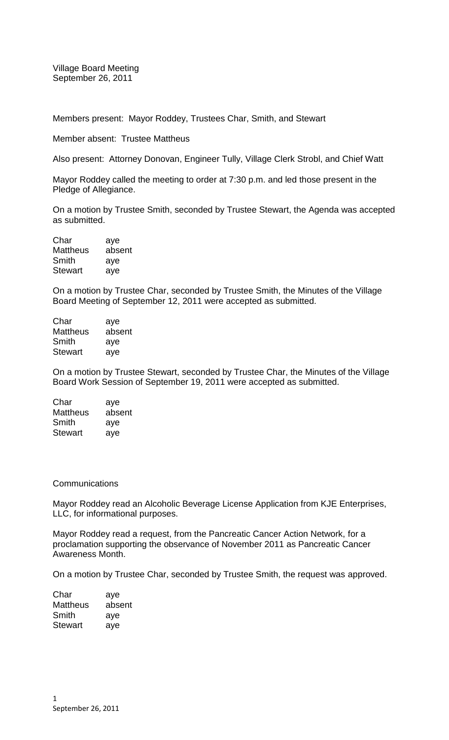Village Board Meeting September 26, 2011

Members present: Mayor Roddey, Trustees Char, Smith, and Stewart

Member absent: Trustee Mattheus

Also present: Attorney Donovan, Engineer Tully, Village Clerk Strobl, and Chief Watt

Mayor Roddey called the meeting to order at 7:30 p.m. and led those present in the Pledge of Allegiance.

On a motion by Trustee Smith, seconded by Trustee Stewart, the Agenda was accepted as submitted.

| Char            | aye    |
|-----------------|--------|
| <b>Mattheus</b> | absent |
| Smith           | aye    |
| <b>Stewart</b>  | aye    |

On a motion by Trustee Char, seconded by Trustee Smith, the Minutes of the Village Board Meeting of September 12, 2011 were accepted as submitted.

| Char            | aye    |
|-----------------|--------|
| <b>Mattheus</b> | absent |
| Smith           | aye    |
| <b>Stewart</b>  | aye    |

On a motion by Trustee Stewart, seconded by Trustee Char, the Minutes of the Village Board Work Session of September 19, 2011 were accepted as submitted.

| Char            | aye    |
|-----------------|--------|
| <b>Mattheus</b> | absent |
| Smith           | aye    |
| <b>Stewart</b>  | aye    |

## **Communications**

Mayor Roddey read an Alcoholic Beverage License Application from KJE Enterprises, LLC, for informational purposes.

Mayor Roddey read a request, from the Pancreatic Cancer Action Network, for a proclamation supporting the observance of November 2011 as Pancreatic Cancer Awareness Month.

On a motion by Trustee Char, seconded by Trustee Smith, the request was approved.

| Char            | aye    |
|-----------------|--------|
| <b>Mattheus</b> | absent |
| Smith           | aye    |
| <b>Stewart</b>  | aye    |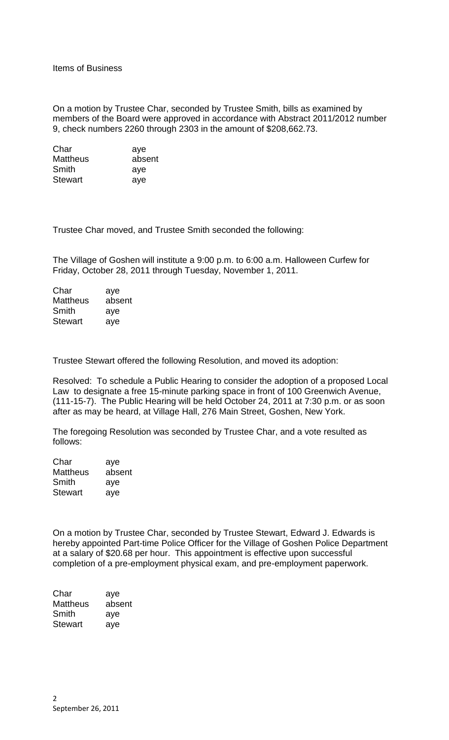On a motion by Trustee Char, seconded by Trustee Smith, bills as examined by members of the Board were approved in accordance with Abstract 2011/2012 number 9, check numbers 2260 through 2303 in the amount of \$208,662.73.

| Char            | aye    |
|-----------------|--------|
| <b>Mattheus</b> | absent |
| Smith           | aye    |
| <b>Stewart</b>  | aye    |

Trustee Char moved, and Trustee Smith seconded the following:

The Village of Goshen will institute a 9:00 p.m. to 6:00 a.m. Halloween Curfew for Friday, October 28, 2011 through Tuesday, November 1, 2011.

| aye    |
|--------|
| absent |
| aye    |
| aye    |
|        |

Trustee Stewart offered the following Resolution, and moved its adoption:

Resolved: To schedule a Public Hearing to consider the adoption of a proposed Local Law to designate a free 15-minute parking space in front of 100 Greenwich Avenue, (111-15-7). The Public Hearing will be held October 24, 2011 at 7:30 p.m. or as soon after as may be heard, at Village Hall, 276 Main Street, Goshen, New York.

The foregoing Resolution was seconded by Trustee Char, and a vote resulted as follows:

| Char            | aye    |
|-----------------|--------|
| <b>Mattheus</b> | absent |
| Smith           | aye    |
| <b>Stewart</b>  | aye    |

On a motion by Trustee Char, seconded by Trustee Stewart, Edward J. Edwards is hereby appointed Part-time Police Officer for the Village of Goshen Police Department at a salary of \$20.68 per hour. This appointment is effective upon successful completion of a pre-employment physical exam, and pre-employment paperwork.

| Char           | aye    |
|----------------|--------|
| Mattheus       | absent |
| Smith          | aye    |
| <b>Stewart</b> | aye    |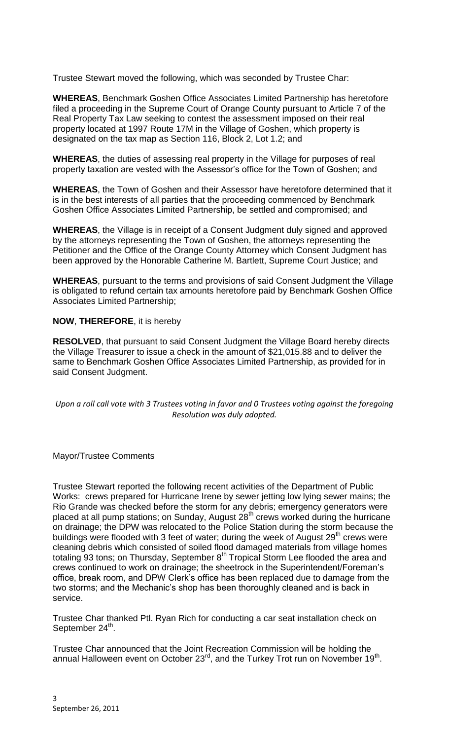Trustee Stewart moved the following, which was seconded by Trustee Char:

**WHEREAS**, Benchmark Goshen Office Associates Limited Partnership has heretofore filed a proceeding in the Supreme Court of Orange County pursuant to Article 7 of the Real Property Tax Law seeking to contest the assessment imposed on their real property located at 1997 Route 17M in the Village of Goshen, which property is designated on the tax map as Section 116, Block 2, Lot 1.2; and

**WHEREAS**, the duties of assessing real property in the Village for purposes of real property taxation are vested with the Assessor's office for the Town of Goshen; and

**WHEREAS**, the Town of Goshen and their Assessor have heretofore determined that it is in the best interests of all parties that the proceeding commenced by Benchmark Goshen Office Associates Limited Partnership, be settled and compromised; and

**WHEREAS**, the Village is in receipt of a Consent Judgment duly signed and approved by the attorneys representing the Town of Goshen, the attorneys representing the Petitioner and the Office of the Orange County Attorney which Consent Judgment has been approved by the Honorable Catherine M. Bartlett, Supreme Court Justice; and

**WHEREAS**, pursuant to the terms and provisions of said Consent Judgment the Village is obligated to refund certain tax amounts heretofore paid by Benchmark Goshen Office Associates Limited Partnership;

**NOW**, **THEREFORE**, it is hereby

**RESOLVED**, that pursuant to said Consent Judgment the Village Board hereby directs the Village Treasurer to issue a check in the amount of \$21,015.88 and to deliver the same to Benchmark Goshen Office Associates Limited Partnership, as provided for in said Consent Judgment.

*Upon a roll call vote with 3 Trustees voting in favor and 0 Trustees voting against the foregoing Resolution was duly adopted.*

Mayor/Trustee Comments

Trustee Stewart reported the following recent activities of the Department of Public Works: crews prepared for Hurricane Irene by sewer jetting low lying sewer mains; the Rio Grande was checked before the storm for any debris; emergency generators were placed at all pump stations; on Sunday, August  $28<sup>th</sup>$  crews worked during the hurricane on drainage; the DPW was relocated to the Police Station during the storm because the buildings were flooded with 3 feet of water; during the week of August 29<sup>th</sup> crews were cleaning debris which consisted of soiled flood damaged materials from village homes totaling 93 tons; on Thursday, September 8<sup>th</sup> Tropical Storm Lee flooded the area and crews continued to work on drainage; the sheetrock in the Superintendent/Foreman's office, break room, and DPW Clerk's office has been replaced due to damage from the two storms; and the Mechanic's shop has been thoroughly cleaned and is back in service.

Trustee Char thanked Ptl. Ryan Rich for conducting a car seat installation check on September 24<sup>th</sup>.

Trustee Char announced that the Joint Recreation Commission will be holding the annual Halloween event on October 23<sup>rd</sup>, and the Turkey Trot run on November 19<sup>th</sup>.